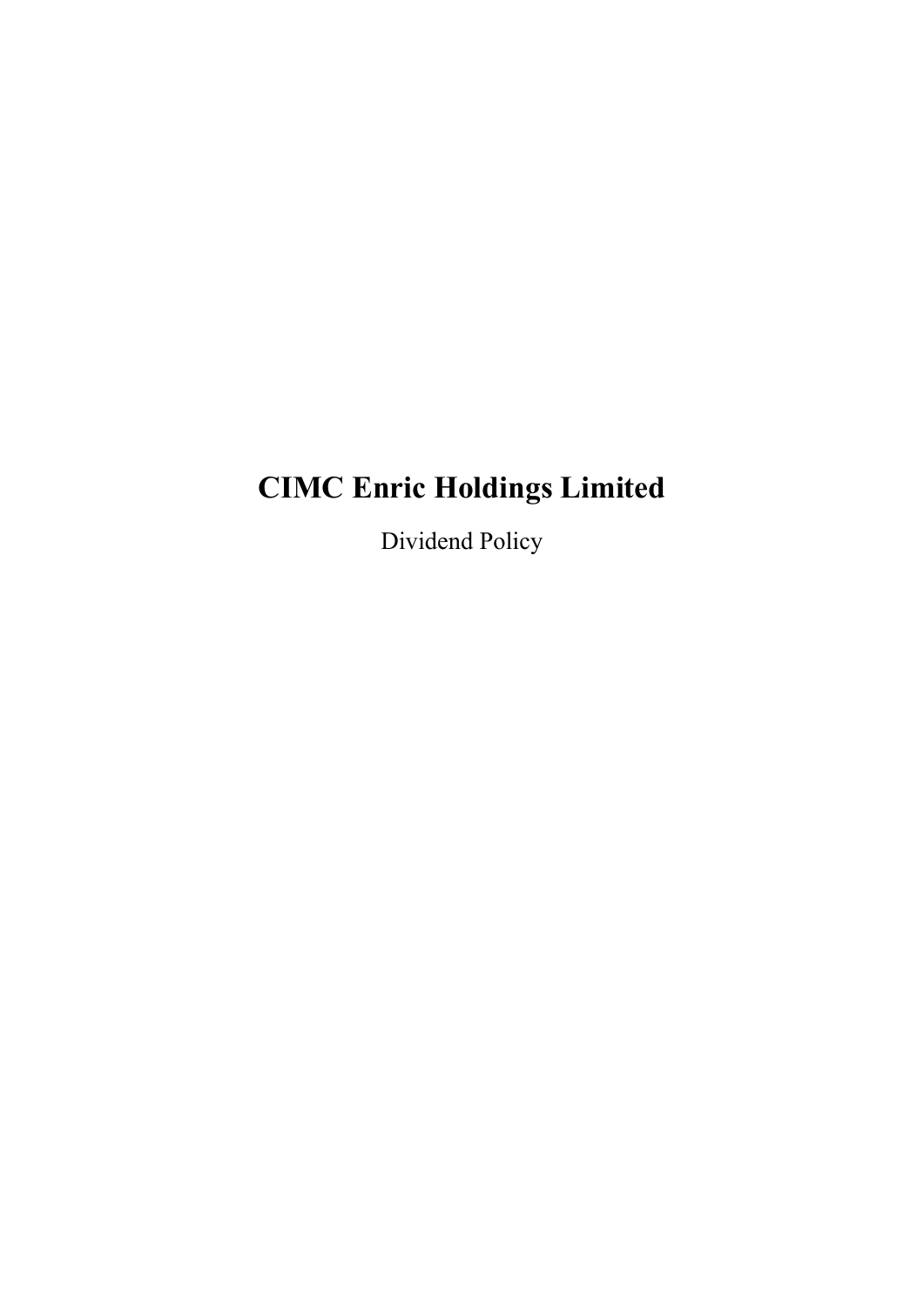# **CIMC Enric Holdings Limited**

Dividend Policy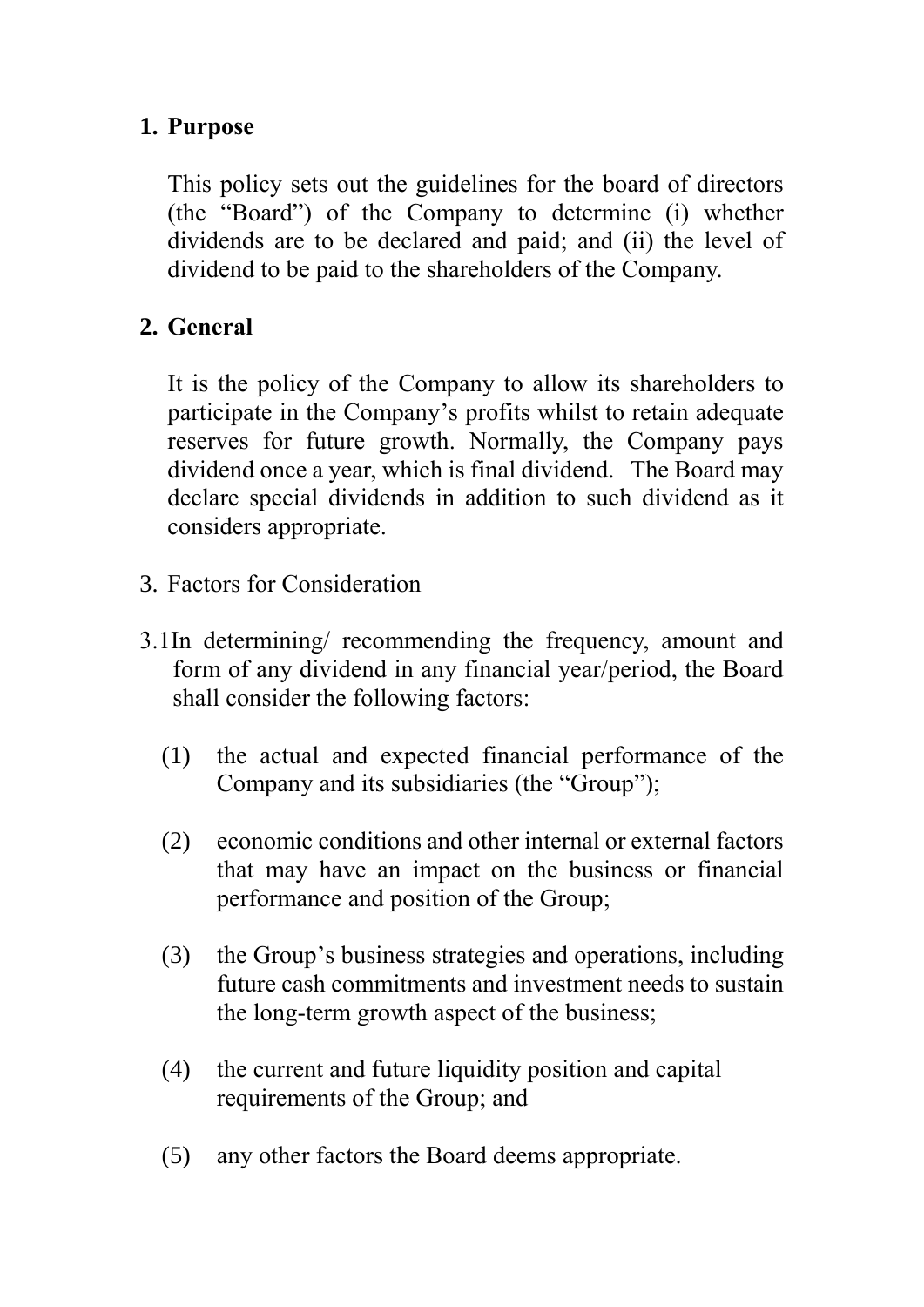#### **1. Purpose**

This policy sets out the guidelines for the board of directors (the "Board") of the Company to determine (i) whether dividends are to be declared and paid; and (ii) the level of dividend to be paid to the shareholders of the Company.

#### **2. General**

It is the policy of the Company to allow its shareholders to participate in the Company's profits whilst to retain adequate reserves for future growth. Normally, the Company pays dividend once a year, which is final dividend. The Board may declare special dividends in addition to such dividend as it considers appropriate.

- 3. Factors for Consideration
- 3.1In determining/ recommending the frequency, amount and form of any dividend in any financial year/period, the Board shall consider the following factors:
	- (1) the actual and expected financial performance of the Company and its subsidiaries (the "Group");
	- (2) economic conditions and other internal or external factors that may have an impact on the business or financial performance and position of the Group;
	- (3) the Group's business strategies and operations, including future cash commitments and investment needs to sustain the long-term growth aspect of the business;
	- (4) the current and future liquidity position and capital requirements of the Group; and
	- (5) any other factors the Board deems appropriate.